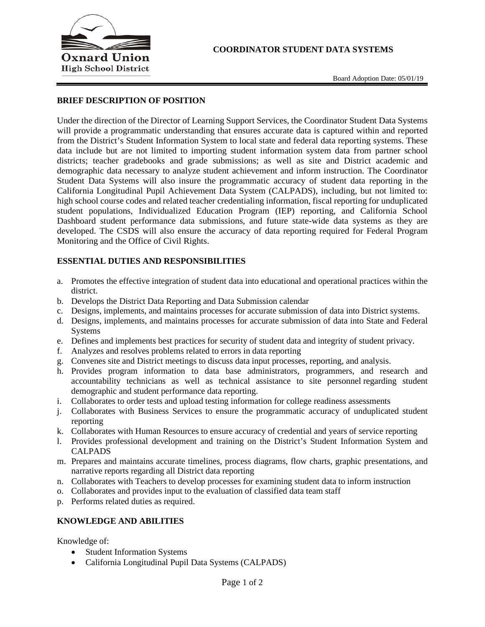

#### **BRIEF DESCRIPTION OF POSITION**

Under the direction of the Director of Learning Support Services, the Coordinator Student Data Systems will provide a programmatic understanding that ensures accurate data is captured within and reported from the District's Student Information System to local state and federal data reporting systems. These data include but are not limited to importing student information system data from partner school districts; teacher gradebooks and grade submissions; as well as site and District academic and demographic data necessary to analyze student achievement and inform instruction. The Coordinator Student Data Systems will also insure the programmatic accuracy of student data reporting in the California Longitudinal Pupil Achievement Data System (CALPADS), including, but not limited to: high school course codes and related teacher credentialing information, fiscal reporting for unduplicated student populations, Individualized Education Program (IEP) reporting, and California School Dashboard student performance data submissions, and future state-wide data systems as they are developed. The CSDS will also ensure the accuracy of data reporting required for Federal Program Monitoring and the Office of Civil Rights.

#### **ESSENTIAL DUTIES AND RESPONSIBILITIES**

- a. Promotes the effective integration of student data into educational and operational practices within the district.
- b. Develops the District Data Reporting and Data Submission calendar
- c. Designs, implements, and maintains processes for accurate submission of data into District systems.
- d. Designs, implements, and maintains processes for accurate submission of data into State and Federal Systems
- e. Defines and implements best practices for security of student data and integrity of student privacy.
- f. Analyzes and resolves problems related to errors in data reporting
- g. Convenes site and District meetings to discuss data input processes, reporting, and analysis.
- h. Provides program information to data base administrators, programmers, and research and accountability technicians as well as technical assistance to site personnel regarding student demographic and student performance data reporting.
- i. Collaborates to order tests and upload testing information for college readiness assessments
- j. Collaborates with Business Services to ensure the programmatic accuracy of unduplicated student reporting
- k. Collaborates with Human Resources to ensure accuracy of credential and years of service reporting
- l. Provides professional development and training on the District's Student Information System and CALPADS
- m. Prepares and maintains accurate timelines, process diagrams, flow charts, graphic presentations, and narrative reports regarding all District data reporting
- n. Collaborates with Teachers to develop processes for examining student data to inform instruction
- o. Collaborates and provides input to the evaluation of classified data team staff
- p. Performs related duties as required.

#### **KNOWLEDGE AND ABILITIES**

Knowledge of:

- Student Information Systems
- California Longitudinal Pupil Data Systems (CALPADS)